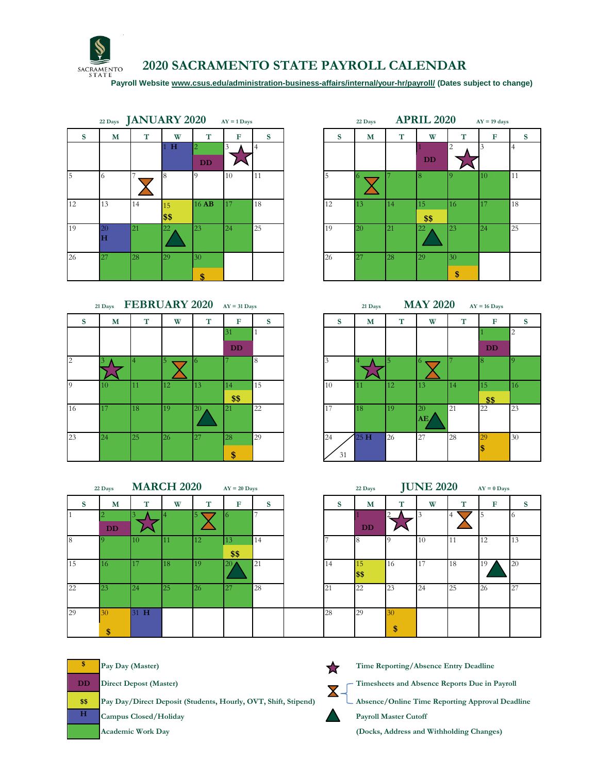

## **2020 SACRAMENTO STATE PAYROLL CALENDAR**

 **[Payroll Website www.csus.edu/administration-business-affairs/internal/your-hr/payroll/](https://www.csus.edu/administration-business-affairs/internal/your-hr/payroll/) (Dates subject to change)**

|              |         | $_{22\text{ Days}}$ JANUARY 2020 |            |         | $AY = 1$ Days |    | 22 Days |    | <b>APRIL 2020</b> |            | $AY = 19$ days |             |
|--------------|---------|----------------------------------|------------|---------|---------------|----|---------|----|-------------------|------------|----------------|-------------|
| <sub>S</sub> | M       | T                                | W          | T       | $\mathbf F$   | S  | S       | M  | T                 | W          | T              | $\mathbf F$ |
|              |         |                                  | H          | 2<br>DD | 3             |    |         |    |                   | DD         | 2              |             |
| 5            | 6       |                                  | 8          |         | 10            | 11 |         |    |                   |            |                | 10          |
| 12           | 13      | 14                               | 15<br>\$\$ | 16 AB   | 17            | 18 | 12      | 13 | 14                | 15<br>\$\$ | 16             | 17          |
| 19           | 20<br>н | 21                               | 22         | 23      | 24            | 25 | 19      | 20 | 21                | 22         | 23             | 24          |
| 26           | 27      | 28                               | 29         | 30      |               |    | 26      | 27 | 28                | <b>29</b>  | 30             |             |
|              |         |                                  |            | \$      |               |    |         |    |                   |            | \$             |             |

|    | 21 Days | FEBRUARY 2020 AY = 31 Days |    |           |           |    |
|----|---------|----------------------------|----|-----------|-----------|----|
| s  | M       | T                          | W  | T         | F         | S  |
|    |         |                            |    |           | 31        |    |
|    |         |                            |    |           | <b>DD</b> |    |
| 2  |         |                            |    |           |           | 8  |
|    |         |                            |    |           |           |    |
| 9  | 10      | 11                         | 12 | <b>13</b> | 14        | 15 |
|    |         |                            |    |           | \$\$      |    |
| 16 | 17      | 18                         | 19 | <b>20</b> | 21        | 22 |
|    |         |                            |    |           |           |    |
| 23 | 24      | 25                         | 26 | 27        | 28        | 29 |
|    |         |                            |    |           |           |    |
|    |         |                            |    |           | \$        |    |

|   | 22 Days JANUARY 2020 |    |             |                             | $AY = 1$ Days |    | <b>APRIL 2020</b><br>22 Days<br>$AY = 19$ days |  |           |    |            |                |    |                |
|---|----------------------|----|-------------|-----------------------------|---------------|----|------------------------------------------------|--|-----------|----|------------|----------------|----|----------------|
| S | M                    | T  | W           | т                           | F             | S  | S                                              |  | M         | T  | W          | T              | F  | S              |
|   |                      |    | $\mathbf H$ | $\overline{2}$<br><b>DD</b> | 3             |    |                                                |  |           |    | <b>DD</b>  | $\overline{2}$ |    | $\overline{4}$ |
|   |                      |    |             | $\Omega$                    | 10            | 11 |                                                |  |           |    |            |                | 10 | 11             |
|   | 13                   | 14 | 15<br>\$\$  | 16 AB                       | 17            | 18 | 12                                             |  | 13        | 14 | 15<br>\$\$ | 16             | 17 | 18             |
|   | 20<br>Η              | 21 | 22          | 23                          | 24            | 25 | 19                                             |  | <b>20</b> | 21 | 22         | 23             | 24 | 25             |
|   | 27                   | 28 | 29          | 30<br>¢                     |               |    | 26                                             |  | 27        | 28 | <b>29</b>  | 30<br>\$       |    |                |



|    | <b>MARCH 2020</b><br>$AY = 20$ Days<br>22 Days |      |    |    |                 |    |    | 22 Days         | <b>JUNE 2020</b> | $AY = 0$ Days |        |    |    |
|----|------------------------------------------------|------|----|----|-----------------|----|----|-----------------|------------------|---------------|--------|----|----|
|    | M                                              | m    | W  | T  | F               | S  | S  | M               | Т                | W             | Æ<br>л | F  | S  |
|    |                                                |      |    |    |                 |    |    |                 | $\overline{2}$   | 3             |        | 5  | -6 |
|    | <b>DD</b>                                      |      |    |    |                 |    |    | DD              |                  |               |        |    |    |
| 18 |                                                | 10   | 11 | 12 | 13              | 14 |    |                 |                  | 10            | 11     | 12 | 13 |
|    |                                                |      |    |    | \$\$            |    |    |                 |                  |               |        |    |    |
| 15 | 116                                            | 17   | 18 | 19 | 20 <sub>l</sub> | 21 | 14 | 15 <sup>1</sup> | 16               | 17            | 18     | 19 | 20 |
|    |                                                |      |    |    |                 |    |    | \$\$            |                  |               |        |    |    |
| 22 | 23                                             | 24   | 25 | 26 | 27              | 28 | 21 | 22              | 23               | 124           | 25     | 26 | 27 |
|    |                                                |      |    |    |                 |    |    |                 |                  |               |        |    |    |
| 29 | 30                                             | 31 H |    |    |                 |    | 28 | 29              | 30               |               |        |    |    |
|    | \$                                             |      |    |    |                 |    |    |                 | \$               |               |        |    |    |

| <b>JUNE 2020</b><br>$AY = 0$ Days<br>22 Days |            |                |    |    |    |    |  |  |  |  |  |  |
|----------------------------------------------|------------|----------------|----|----|----|----|--|--|--|--|--|--|
| S                                            | M          | T              | W  | T  | F  | S  |  |  |  |  |  |  |
|                                              | DD         | $\overline{c}$ | 3  | 4  | 5  | 6  |  |  |  |  |  |  |
| $\overline{7}$                               | 8          | 9              | 10 | 11 | 12 | 13 |  |  |  |  |  |  |
| 14                                           | 15<br>\$\$ | 16             | 17 | 18 | 19 | 20 |  |  |  |  |  |  |
| 21                                           | 22         | 23             | 24 | 25 | 26 | 27 |  |  |  |  |  |  |
| 28                                           | 29         | 30<br>\$       |    |    |    |    |  |  |  |  |  |  |

|             | Pay Day (Master)                                               | Time Reporting/Absence Entry Deadline           |
|-------------|----------------------------------------------------------------|-------------------------------------------------|
| $_{\rm DD}$ | <b>Direct Depost (Master)</b>                                  | Timesheets and Absence Reports Due in Payroll   |
| \$\$        | Pay Day/Direct Deposit (Students, Hourly, OVT, Shift, Stipend) | Absence/Online Time Reporting Approval Deadline |
| н           | Campus Closed/Holiday                                          | <b>Payroll Master Cutoff</b>                    |
|             | <b>Academic Work Day</b>                                       | (Docks, Address and Withholding Changes)        |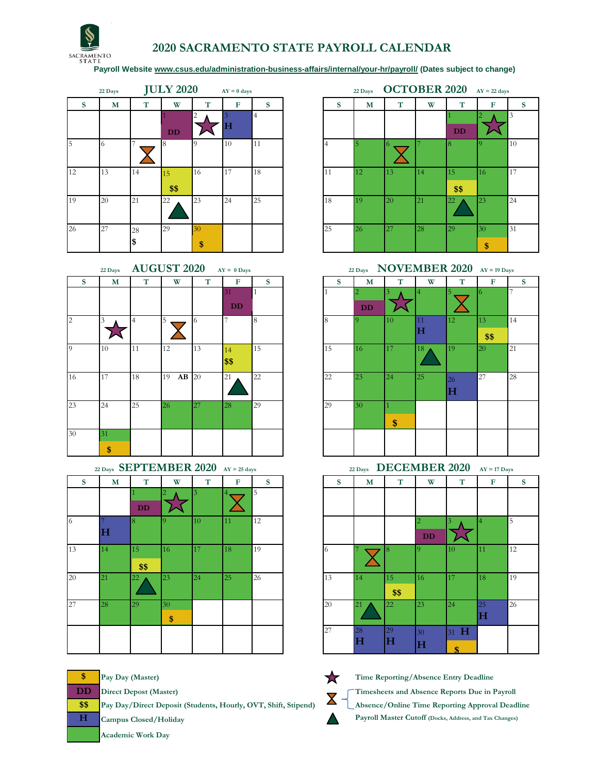

## **2020 SACRAMENTO STATE PAYROLL CALENDAR**

 **[Payroll Website www.csus.edu/administration-business-affairs/internal/your-hr/payroll/](https://www.csus.edu/administration-business-affairs/internal/your-hr/payroll/) (Dates subject to change)**

|    | 22 Days |    | <b>JULY 2020</b> |    | $AY = 0$ days |                |    | 22 Days | <b>OCTOBER 2020</b> |           |            | $AY = 22$ days |    |
|----|---------|----|------------------|----|---------------|----------------|----|---------|---------------------|-----------|------------|----------------|----|
| S  | M       | T  | W                | T  | F             | S              | S  | M       | T                   | W         | T          | F              |    |
|    |         |    | <b>DD</b>        | 2  | H             | $\overline{4}$ |    |         |                     |           | DD         |                | 3  |
| 5  |         |    |                  |    | 10            | 11             |    |         | 6                   |           |            |                |    |
| 12 | 13      | 14 | 15<br>\$\$       | 16 | 17            | 18             | 11 | 12      | 13                  | 14        | 15<br>\$\$ | 16             |    |
| 19 | 20      | 21 | 22               | 23 | 24            | 25             | 18 | 19      | <b>20</b>           | 21        | 22         | 23             | 24 |
| 26 | 27      | 28 | 29               | 30 |               |                | 25 | 26      | 27                  | <b>28</b> | 29         | 30             | 31 |
|    |         | S  |                  | \$ |               |                |    |         |                     |           |            | \$             |    |

|                | 22 Days |    | <b>AUGUST 2020</b> | <b>NOVEMBER 2</b><br>22 Days |            |    |    |    |    |          |                   |  |
|----------------|---------|----|--------------------|------------------------------|------------|----|----|----|----|----------|-------------------|--|
| S              | M       | T  | W                  | T                            | F          | S  | S  | M  | T  | W        |                   |  |
|                |         |    |                    |                              | 31         |    |    |    |    | 4        | $\overline{5}$    |  |
|                |         |    |                    |                              | <b>DD</b>  |    |    | DD |    |          |                   |  |
| $\overline{2}$ | 3       | 4  | 5                  | 6                            |            | 8  | 8  |    | 10 | 11<br>lН | 12                |  |
| 9              | 10      | 11 | 12                 | 13                           | 14<br>\$\$ | 15 | 15 | 16 | 17 | 18       | 19                |  |
| 16             | 17      | 18 | $AB$ 20<br>19      |                              | 21         | 22 | 22 | 23 | 24 | 25       | 26<br>$\mathbf H$ |  |
| 23             | 24      | 25 | 26                 | 27                           | 28         | 29 | 29 | 30 | \$ |          |                   |  |
| 30             | 31      |    |                    |                              |            |    |    |    |    |          |                   |  |
|                | \$      |    |                    |                              |            |    |    |    |    |          |                   |  |

|              | 22 Days SEPTEMBER 2020 AY = 25 days |            |          |    |                 |    |
|--------------|-------------------------------------|------------|----------|----|-----------------|----|
| <sub>S</sub> | M                                   | T          | W        | T  | F               | S  |
|              |                                     | <b>DD</b>  |          |    |                 | 5  |
|              | $\bf H$                             |            |          | 10 | 11              | 12 |
| 13           | 14                                  | 15<br>\$\$ | 16       | 17 | 18 <sup>2</sup> | 19 |
| 20           | 21                                  | 22         | 23       | 24 | <b>25</b>       | 26 |
| 27           | 28                                  | 29         | 30<br>\$ |    |                 |    |
|              |                                     |            |          |    |                 |    |

**\$\$ Pay Day/Direct Deposit (Students, Hourly, OVT, Shift, Stipend) Absence/Online Time Reporting Approval Deadline**

**Academic Work Day**

**22 Days JULY 2020 AY = 0 days 22 Days OCTOBER 2020 AY = 22 days S M T W T F S S M T W T F S** 4 1  $2 \wedge 3$  $\mathcal{M}% _{M_{1},M_{2}}^{\alpha,\beta}(\varepsilon)$ **DD** 16 17 18 11 12 13 14 15 16 17 **\$\$** 29 **30 1 25 26 27 28 29 30 31 \$**

**22 Days 2020 AY = 0 Days 22 Days NOVEMBER 2020 AY = 19 Days** 

| S | M  | T  | W             | T  | F         | <sup>S</sup> | S  | M              | T  | W  | T  | $\mathbf F$ | <sub>S</sub>   |
|---|----|----|---------------|----|-----------|--------------|----|----------------|----|----|----|-------------|----------------|
|   |    |    |               |    | 31        |              |    | $\overline{2}$ |    |    | 5  | 6.          | $\overline{7}$ |
|   |    |    |               |    | <b>DD</b> |              |    | DD             |    |    |    |             |                |
|   | 3  | 4  | 15            | 6  | 7         | 8            | 8  | $\Omega$       | 10 | 11 | 12 | 13          | 14             |
|   |    |    |               |    |           |              |    |                |    | H  |    | \$\$        |                |
|   | 10 | 11 | 12            | 13 | 14        | 15           | 15 | 16             | 17 | 18 | 19 | 20          | 21             |
|   |    |    |               |    | \$        |              |    |                |    |    |    |             |                |
|   | 17 | 18 | 19<br>$AB$ 20 |    | 21        | 22           | 22 | 23             | 24 | 25 | 26 | 27          | 28             |
|   |    |    |               |    |           |              |    |                |    |    | н  |             |                |
|   | 24 | 25 | 26            | 27 | 28        | 29           | 29 | 30             |    |    |    |             |                |
|   |    |    |               |    |           |              |    |                | \$ |    |    |             |                |
|   | 31 |    |               |    |           |              |    |                |    |    |    |             |                |
|   | \$ |    |               |    |           |              |    |                |    |    |    |             |                |



**\$ Pay Day (Master) Time Reporting/Absence Entry Deadline DD** Direct Depost (Master)<br> **R D Direct Deposit (Students Haugh: OVT, Shift Stipped)**<br> **R Absence (Opline Time Benerity Append)** Deed **H Campus Closed/Holiday Payroll Master Cutoff (Docks, Address, and Tax Changes)**